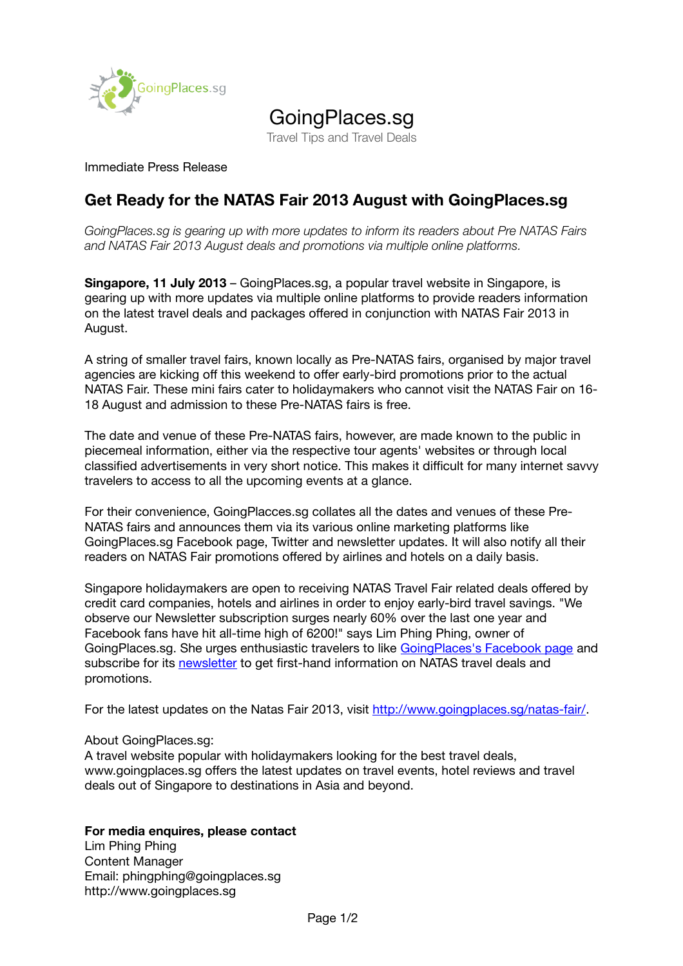

## GoingPlaces.sg

Travel Tips and Travel Deals

Immediate Press Release

## **Get Ready for the NATAS Fair 2013 August with GoingPlaces.sg**

*GoingPlaces.sg is gearing up with more updates to inform its readers about Pre NATAS Fairs and NATAS Fair 2013 August deals and promotions via multiple online platforms.*

**Singapore, 11 July 2013** – GoingPlaces.sg, a popular travel website in Singapore, is gearing up with more updates via multiple online platforms to provide readers information on the latest travel deals and packages offered in conjunction with NATAS Fair 2013 in August.

A string of smaller travel fairs, known locally as Pre-NATAS fairs, organised by major travel agencies are kicking off this weekend to offer early-bird promotions prior to the actual NATAS Fair. These mini fairs cater to holidaymakers who cannot visit the NATAS Fair on 16- 18 August and admission to these Pre-NATAS fairs is free.

The date and venue of these Pre-NATAS fairs, however, are made known to the public in piecemeal information, either via the respective tour agents' websites or through local classified advertisements in very short notice. This makes it difficult for many internet savvy travelers to access to all the upcoming events at a glance.

For their convenience, GoingPlacces.sg collates all the dates and venues of these Pre-NATAS fairs and announces them via its various online marketing platforms like GoingPlaces.sg Facebook page, Twitter and newsletter updates. It will also notify all their readers on NATAS Fair promotions offered by airlines and hotels on a daily basis.

Singapore holidaymakers are open to receiving NATAS Travel Fair related deals offered by credit card companies, hotels and airlines in order to enjoy early-bird travel savings. "We observe our Newsletter subscription surges nearly 60% over the last one year and Facebook fans have hit all-time high of 6200!" says Lim Phing Phing, owner of GoingPlaces.sg. She urges enthusiastic travelers to like [GoingPlaces's Facebook page](https://www.facebook.com/goingplaces.sg) and subscribe for its [newsletter](http://www.goingplaces.sg/newsletter/) to get first-hand information on NATAS travel deals and promotions.

For the latest updates on the Natas Fair 2013, visit [http://www.goingplaces.sg/natas-fair/.](http://www.goingplaces.sg/natas-fair/)

About GoingPlaces.sg:

A travel website popular with holidaymakers looking for the best travel deals, www.goingplaces.sg offers the latest updates on travel events, hotel reviews and travel deals out of Singapore to destinations in Asia and beyond.

## **For media enquires, please contact**

Lim Phing Phing Content Manager Email: phingphing@goingplaces.sg http://www.goingplaces.sg